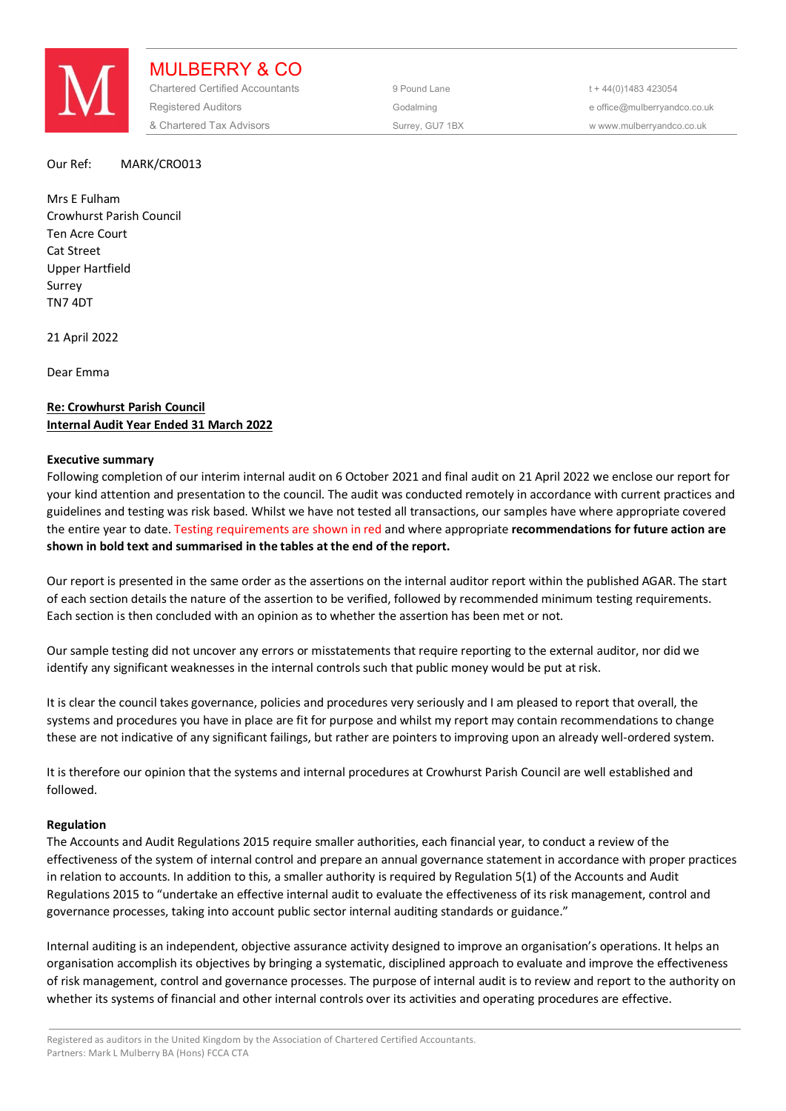

MULBERRY & CO Chartered Certified Accountants 9 Pound Lane 5 and the 44(0) 1483 423054 Registered Auditors and the Codalming Codalming and the office@mulberryandco.co.uk & Chartered Tax Advisors Surrey, GU7 1BX w www.mulberryandco.co.uk

### Our Ref: MARK/CRO013

Mrs E Fulham Crowhurst Parish Council Ten Acre Court Cat Street Upper Hartfield Surrey TN7 4DT

21 April 2022

Dear Emma

# **Re: Crowhurst Parish Council Internal Audit Year Ended 31 March 2022**

### **Executive summary**

Following completion of our interim internal audit on 6 October 2021 and final audit on 21 April 2022 we enclose our report for your kind attention and presentation to the council. The audit was conducted remotely in accordance with current practices and guidelines and testing was risk based. Whilst we have not tested all transactions, our samples have where appropriate covered the entire year to date. Testing requirements are shown in red and where appropriate **recommendations for future action are shown in bold text and summarised in the tables at the end of the report.** 

Our report is presented in the same order as the assertions on the internal auditor report within the published AGAR. The start of each section details the nature of the assertion to be verified, followed by recommended minimum testing requirements. Each section is then concluded with an opinion as to whether the assertion has been met or not.

Our sample testing did not uncover any errors or misstatements that require reporting to the external auditor, nor did we identify any significant weaknesses in the internal controls such that public money would be put at risk.

It is clear the council takes governance, policies and procedures very seriously and I am pleased to report that overall, the systems and procedures you have in place are fit for purpose and whilst my report may contain recommendations to change these are not indicative of any significant failings, but rather are pointers to improving upon an already well-ordered system.

It is therefore our opinion that the systems and internal procedures at Crowhurst Parish Council are well established and followed.

#### **Regulation**

The Accounts and Audit Regulations 2015 require smaller authorities, each financial year, to conduct a review of the effectiveness of the system of internal control and prepare an annual governance statement in accordance with proper practices in relation to accounts. In addition to this, a smaller authority is required by Regulation 5(1) of the Accounts and Audit Regulations 2015 to "undertake an effective internal audit to evaluate the effectiveness of its risk management, control and governance processes, taking into account public sector internal auditing standards or guidance."

Internal auditing is an independent, objective assurance activity designed to improve an organisation's operations. It helps an organisation accomplish its objectives by bringing a systematic, disciplined approach to evaluate and improve the effectiveness of risk management, control and governance processes. The purpose of internal audit is to review and report to the authority on whether its systems of financial and other internal controls over its activities and operating procedures are effective.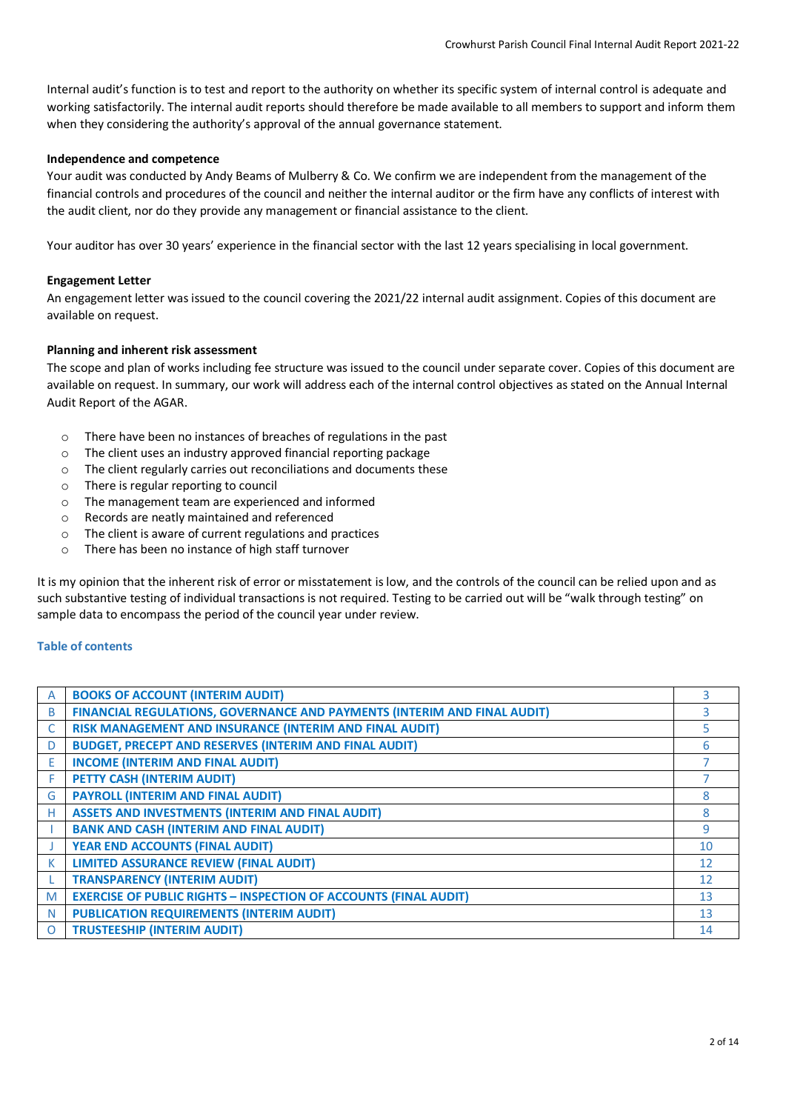Internal audit's function is to test and report to the authority on whether its specific system of internal control is adequate and working satisfactorily. The internal audit reports should therefore be made available to all members to support and inform them when they considering the authority's approval of the annual governance statement.

## **Independence and competence**

Your audit was conducted by Andy Beams of Mulberry & Co. We confirm we are independent from the management of the financial controls and procedures of the council and neither the internal auditor or the firm have any conflicts of interest with the audit client, nor do they provide any management or financial assistance to the client.

Your auditor has over 30 years' experience in the financial sector with the last 12 years specialising in local government.

## **Engagement Letter**

An engagement letter was issued to the council covering the 2021/22 internal audit assignment. Copies of this document are available on request.

# **Planning and inherent risk assessment**

The scope and plan of works including fee structure was issued to the council under separate cover. Copies of this document are available on request. In summary, our work will address each of the internal control objectives as stated on the Annual Internal Audit Report of the AGAR.

- o There have been no instances of breaches of regulations in the past
- o The client uses an industry approved financial reporting package
- o The client regularly carries out reconciliations and documents these
- o There is regular reporting to council
- o The management team are experienced and informed
- o Records are neatly maintained and referenced
- o The client is aware of current regulations and practices
- o There has been no instance of high staff turnover

It is my opinion that the inherent risk of error or misstatement is low, and the controls of the council can be relied upon and as such substantive testing of individual transactions is not required. Testing to be carried out will be "walk through testing" on sample data to encompass the period of the council year under review.

## **Table of contents**

| A        | <b>BOOKS OF ACCOUNT (INTERIM AUDIT)</b>                                  |                |
|----------|--------------------------------------------------------------------------|----------------|
| B        | FINANCIAL REGULATIONS, GOVERNANCE AND PAYMENTS (INTERIM AND FINAL AUDIT) | 3              |
|          | RISK MANAGEMENT AND INSURANCE (INTERIM AND FINAL AUDIT)                  |                |
| D        | <b>BUDGET, PRECEPT AND RESERVES (INTERIM AND FINAL AUDIT)</b>            | 6              |
| E        | <b>INCOME (INTERIM AND FINAL AUDIT)</b>                                  |                |
|          | PETTY CASH (INTERIM AUDIT)                                               |                |
| G        | <b>PAYROLL (INTERIM AND FINAL AUDIT)</b>                                 | ጸ              |
| н        | <b>ASSETS AND INVESTMENTS (INTERIM AND FINAL AUDIT)</b>                  | 8              |
|          | <b>BANK AND CASH (INTERIM AND FINAL AUDIT)</b>                           | 9              |
|          | <b>YEAR END ACCOUNTS (FINAL AUDIT)</b>                                   | 10             |
| К        | <b>LIMITED ASSURANCE REVIEW (FINAL AUDIT)</b>                            | 12             |
|          | <b>TRANSPARENCY (INTERIM AUDIT)</b>                                      | 12             |
| M        | <b>EXERCISE OF PUBLIC RIGHTS - INSPECTION OF ACCOUNTS (FINAL AUDIT)</b>  | 1 <sub>3</sub> |
| N        | <b>PUBLICATION REQUIREMENTS (INTERIM AUDIT)</b>                          | 13             |
| $\Omega$ | <b>TRUSTEESHIP (INTERIM AUDIT)</b>                                       | 14             |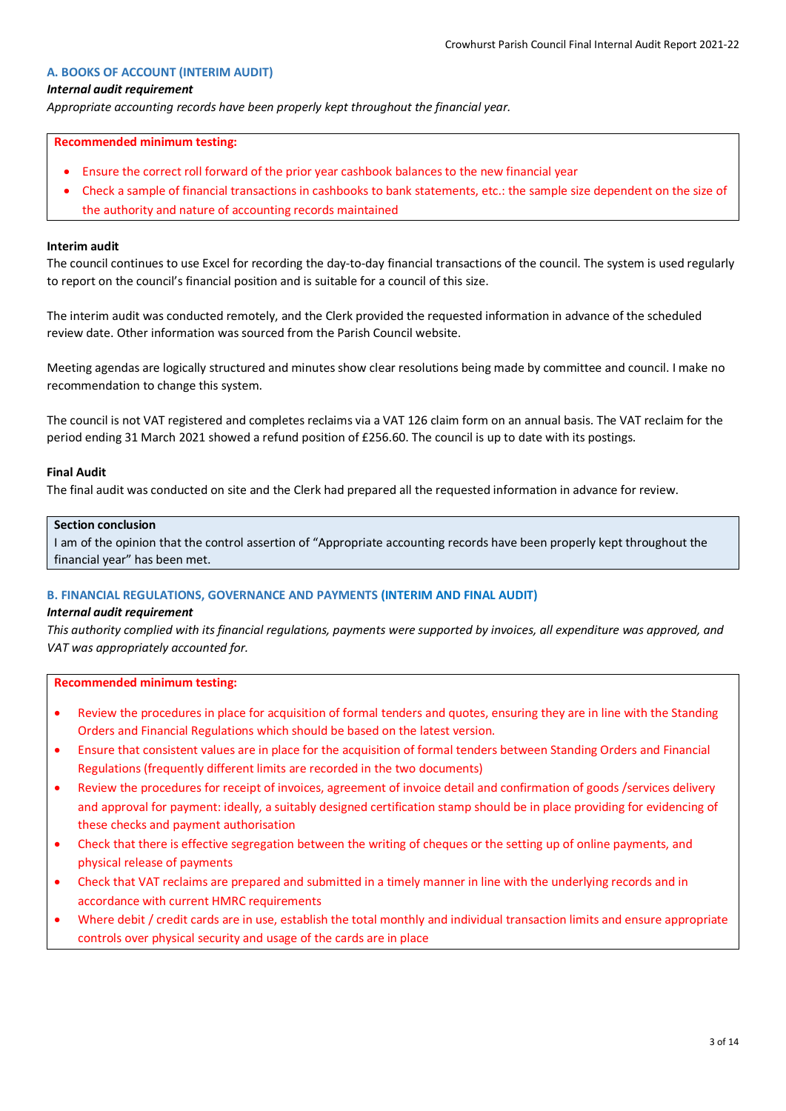### **A. BOOKS OF ACCOUNT (INTERIM AUDIT)**

### *Internal audit requirement*

*Appropriate accounting records have been properly kept throughout the financial year.*

#### **Recommended minimum testing:**

- Ensure the correct roll forward of the prior year cashbook balances to the new financial year
- Check a sample of financial transactions in cashbooks to bank statements, etc.: the sample size dependent on the size of the authority and nature of accounting records maintained

### **Interim audit**

The council continues to use Excel for recording the day-to-day financial transactions of the council. The system is used regularly to report on the council's financial position and is suitable for a council of this size.

The interim audit was conducted remotely, and the Clerk provided the requested information in advance of the scheduled review date. Other information was sourced from the Parish Council website.

Meeting agendas are logically structured and minutes show clear resolutions being made by committee and council. I make no recommendation to change this system.

The council is not VAT registered and completes reclaims via a VAT 126 claim form on an annual basis. The VAT reclaim for the period ending 31 March 2021 showed a refund position of £256.60. The council is up to date with its postings.

#### **Final Audit**

The final audit was conducted on site and the Clerk had prepared all the requested information in advance for review.

#### **Section conclusion**

I am of the opinion that the control assertion of "Appropriate accounting records have been properly kept throughout the financial year" has been met.

#### **B. FINANCIAL REGULATIONS, GOVERNANCE AND PAYMENTS (INTERIM AND FINAL AUDIT)**

#### *Internal audit requirement*

*This authority complied with its financial regulations, payments were supported by invoices, all expenditure was approved, and VAT was appropriately accounted for.*

#### **Recommended minimum testing:**

- Review the procedures in place for acquisition of formal tenders and quotes, ensuring they are in line with the Standing Orders and Financial Regulations which should be based on the latest version.
- Ensure that consistent values are in place for the acquisition of formal tenders between Standing Orders and Financial Regulations (frequently different limits are recorded in the two documents)
- Review the procedures for receipt of invoices, agreement of invoice detail and confirmation of goods /services delivery and approval for payment: ideally, a suitably designed certification stamp should be in place providing for evidencing of these checks and payment authorisation
- Check that there is effective segregation between the writing of cheques or the setting up of online payments, and physical release of payments
- Check that VAT reclaims are prepared and submitted in a timely manner in line with the underlying records and in accordance with current HMRC requirements
- Where debit / credit cards are in use, establish the total monthly and individual transaction limits and ensure appropriate controls over physical security and usage of the cards are in place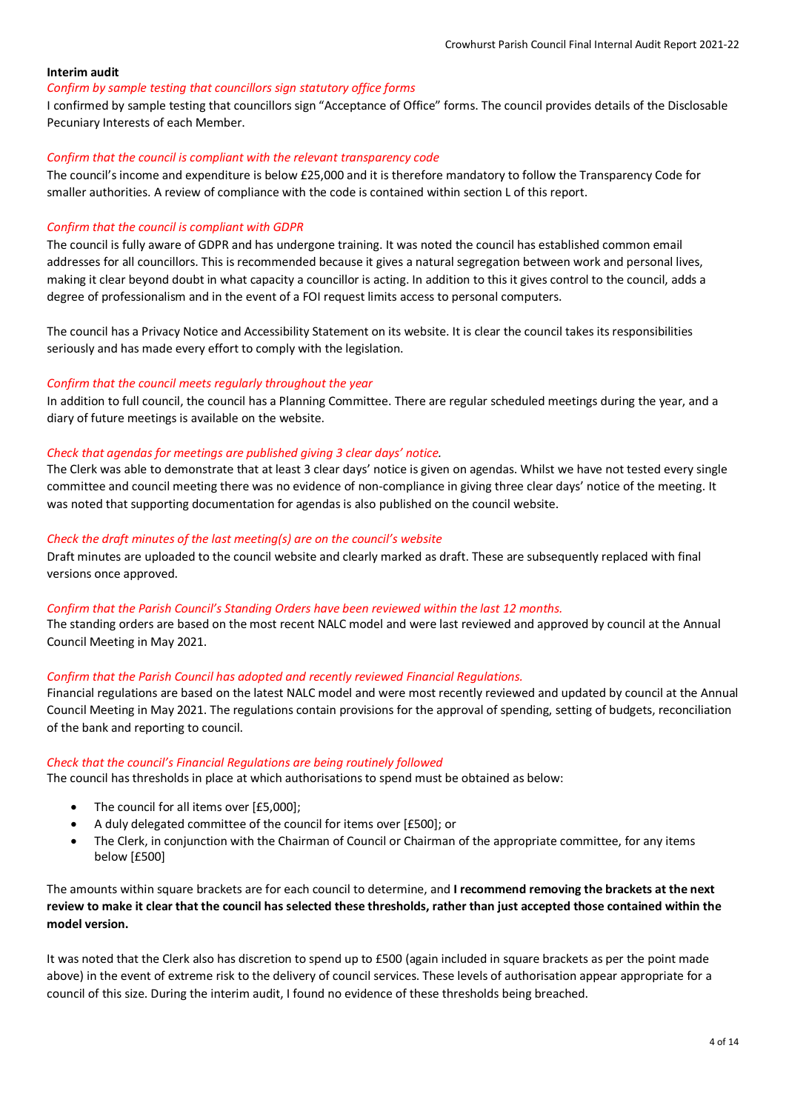## **Interim audit**

### *Confirm by sample testing that councillors sign statutory office forms*

I confirmed by sample testing that councillors sign "Acceptance of Office" forms. The council provides details of the Disclosable Pecuniary Interests of each Member.

### *Confirm that the council is compliant with the relevant transparency code*

The council's income and expenditure is below £25,000 and it is therefore mandatory to follow the Transparency Code for smaller authorities. A review of compliance with the code is contained within section L of this report.

### *Confirm that the council is compliant with GDPR*

The council is fully aware of GDPR and has undergone training. It was noted the council has established common email addresses for all councillors. This is recommended because it gives a natural segregation between work and personal lives, making it clear beyond doubt in what capacity a councillor is acting. In addition to this it gives control to the council, adds a degree of professionalism and in the event of a FOI request limits access to personal computers.

The council has a Privacy Notice and Accessibility Statement on its website. It is clear the council takes its responsibilities seriously and has made every effort to comply with the legislation.

### *Confirm that the council meets regularly throughout the year*

In addition to full council, the council has a Planning Committee. There are regular scheduled meetings during the year, and a diary of future meetings is available on the website.

### *Check that agendas for meetings are published giving 3 clear days' notice.*

The Clerk was able to demonstrate that at least 3 clear days' notice is given on agendas. Whilst we have not tested every single committee and council meeting there was no evidence of non-compliance in giving three clear days' notice of the meeting. It was noted that supporting documentation for agendas is also published on the council website.

### *Check the draft minutes of the last meeting(s) are on the council's website*

Draft minutes are uploaded to the council website and clearly marked as draft. These are subsequently replaced with final versions once approved.

#### *Confirm that the Parish Council's Standing Orders have been reviewed within the last 12 months.*

The standing orders are based on the most recent NALC model and were last reviewed and approved by council at the Annual Council Meeting in May 2021.

## *Confirm that the Parish Council has adopted and recently reviewed Financial Regulations.*

Financial regulations are based on the latest NALC model and were most recently reviewed and updated by council at the Annual Council Meeting in May 2021. The regulations contain provisions for the approval of spending, setting of budgets, reconciliation of the bank and reporting to council.

#### *Check that the council's Financial Regulations are being routinely followed*

The council has thresholds in place at which authorisations to spend must be obtained as below:

- The council for all items over [£5,000];
- A duly delegated committee of the council for items over [£500]; or
- The Clerk, in conjunction with the Chairman of Council or Chairman of the appropriate committee, for any items below [£500]

The amounts within square brackets are for each council to determine, and **I recommend removing the brackets at the next review to make it clear that the council has selected these thresholds, rather than just accepted those contained within the model version.**

It was noted that the Clerk also has discretion to spend up to £500 (again included in square brackets as per the point made above) in the event of extreme risk to the delivery of council services. These levels of authorisation appear appropriate for a council of this size. During the interim audit, I found no evidence of these thresholds being breached.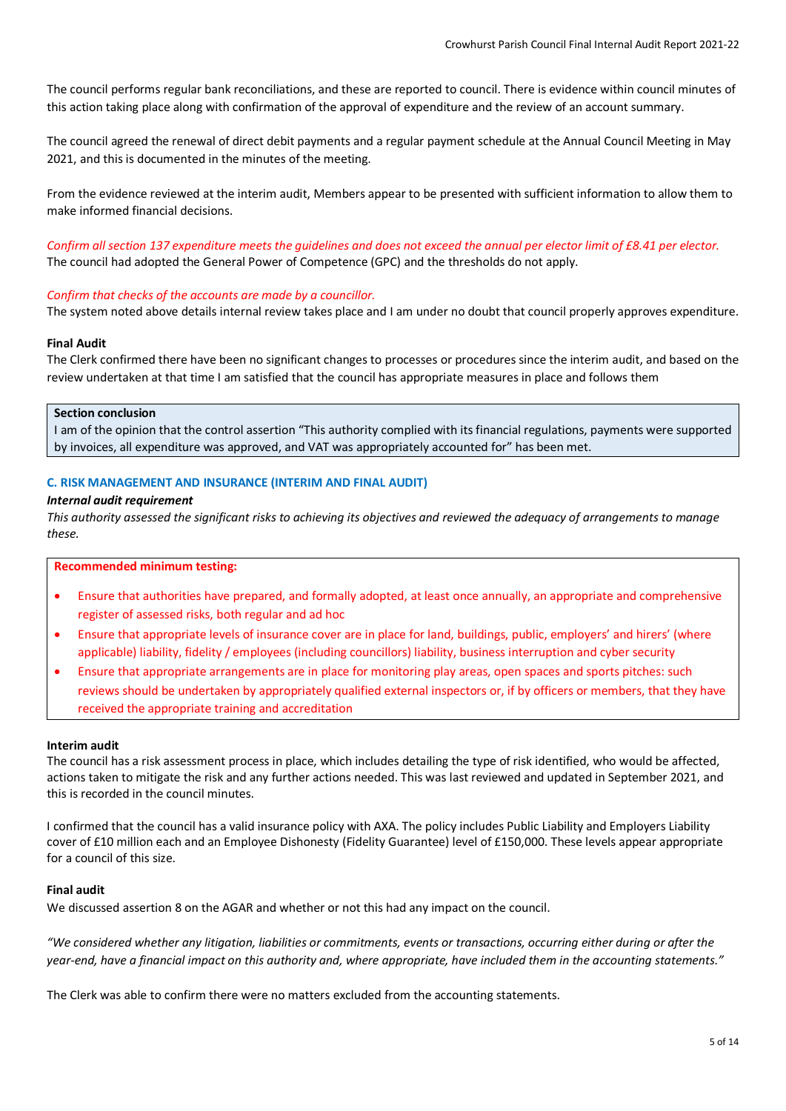The council performs regular bank reconciliations, and these are reported to council. There is evidence within council minutes of this action taking place along with confirmation of the approval of expenditure and the review of an account summary.

The council agreed the renewal of direct debit payments and a regular payment schedule at the Annual Council Meeting in May 2021, and this is documented in the minutes of the meeting.

From the evidence reviewed at the interim audit, Members appear to be presented with sufficient information to allow them to make informed financial decisions.

*Confirm all section 137 expenditure meets the guidelines and does not exceed the annual per elector limit of £8.41 per elector.* The council had adopted the General Power of Competence (GPC) and the thresholds do not apply.

#### *Confirm that checks of the accounts are made by a councillor.*

The system noted above details internal review takes place and I am under no doubt that council properly approves expenditure.

#### **Final Audit**

The Clerk confirmed there have been no significant changes to processes or procedures since the interim audit, and based on the review undertaken at that time I am satisfied that the council has appropriate measures in place and follows them

### **Section conclusion**

I am of the opinion that the control assertion "This authority complied with its financial regulations, payments were supported by invoices, all expenditure was approved, and VAT was appropriately accounted for" has been met.

### **C. RISK MANAGEMENT AND INSURANCE (INTERIM AND FINAL AUDIT)**

#### *Internal audit requirement*

*This authority assessed the significant risks to achieving its objectives and reviewed the adequacy of arrangements to manage these.*

#### **Recommended minimum testing:**

- Ensure that authorities have prepared, and formally adopted, at least once annually, an appropriate and comprehensive register of assessed risks, both regular and ad hoc
- Ensure that appropriate levels of insurance cover are in place for land, buildings, public, employers' and hirers' (where applicable) liability, fidelity / employees (including councillors) liability, business interruption and cyber security
- Ensure that appropriate arrangements are in place for monitoring play areas, open spaces and sports pitches: such reviews should be undertaken by appropriately qualified external inspectors or, if by officers or members, that they have received the appropriate training and accreditation

### **Interim audit**

The council has a risk assessment process in place, which includes detailing the type of risk identified, who would be affected, actions taken to mitigate the risk and any further actions needed. This was last reviewed and updated in September 2021, and this is recorded in the council minutes.

I confirmed that the council has a valid insurance policy with AXA. The policy includes Public Liability and Employers Liability cover of £10 million each and an Employee Dishonesty (Fidelity Guarantee) level of £150,000. These levels appear appropriate for a council of this size.

### **Final audit**

We discussed assertion 8 on the AGAR and whether or not this had any impact on the council.

*"We considered whether any litigation, liabilities or commitments, events or transactions, occurring either during or after the year-end, have a financial impact on this authority and, where appropriate, have included them in the accounting statements."*

The Clerk was able to confirm there were no matters excluded from the accounting statements.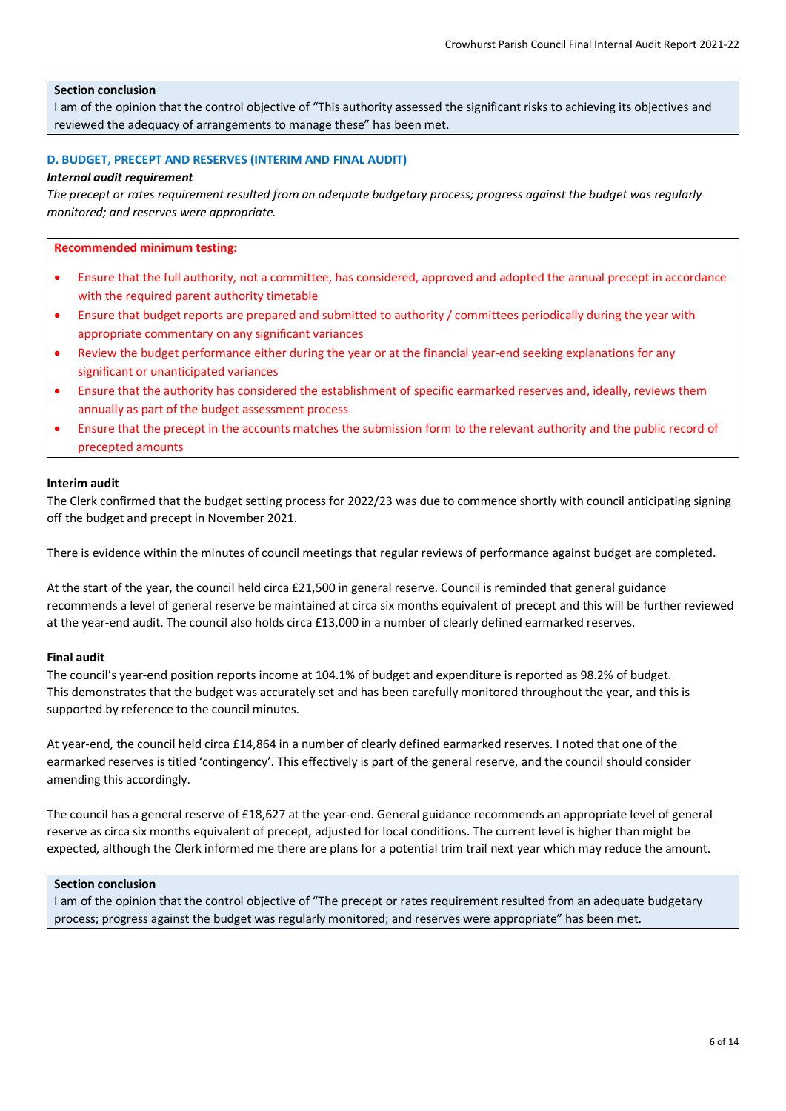## **Section conclusion**

I am of the opinion that the control objective of "This authority assessed the significant risks to achieving its objectives and reviewed the adequacy of arrangements to manage these" has been met.

### **D. BUDGET, PRECEPT AND RESERVES (INTERIM AND FINAL AUDIT)**

#### *Internal audit requirement*

*The precept or rates requirement resulted from an adequate budgetary process; progress against the budget was regularly monitored; and reserves were appropriate.*

#### **Recommended minimum testing:**

- Ensure that the full authority, not a committee, has considered, approved and adopted the annual precept in accordance with the required parent authority timetable
- Ensure that budget reports are prepared and submitted to authority / committees periodically during the year with appropriate commentary on any significant variances
- Review the budget performance either during the year or at the financial year-end seeking explanations for any significant or unanticipated variances
- Ensure that the authority has considered the establishment of specific earmarked reserves and, ideally, reviews them annually as part of the budget assessment process
- Ensure that the precept in the accounts matches the submission form to the relevant authority and the public record of precepted amounts

### **Interim audit**

The Clerk confirmed that the budget setting process for 2022/23 was due to commence shortly with council anticipating signing off the budget and precept in November 2021.

There is evidence within the minutes of council meetings that regular reviews of performance against budget are completed.

At the start of the year, the council held circa £21,500 in general reserve. Council is reminded that general guidance recommends a level of general reserve be maintained at circa six months equivalent of precept and this will be further reviewed at the year-end audit. The council also holds circa £13,000 in a number of clearly defined earmarked reserves.

### **Final audit**

The council's year-end position reports income at 104.1% of budget and expenditure is reported as 98.2% of budget. This demonstrates that the budget was accurately set and has been carefully monitored throughout the year, and this is supported by reference to the council minutes.

At year-end, the council held circa £14,864 in a number of clearly defined earmarked reserves. I noted that one of the earmarked reserves is titled 'contingency'. This effectively is part of the general reserve, and the council should consider amending this accordingly.

The council has a general reserve of £18,627 at the year-end. General guidance recommends an appropriate level of general reserve as circa six months equivalent of precept, adjusted for local conditions. The current level is higher than might be expected, although the Clerk informed me there are plans for a potential trim trail next year which may reduce the amount.

#### **Section conclusion**

I am of the opinion that the control objective of "The precept or rates requirement resulted from an adequate budgetary process; progress against the budget was regularly monitored; and reserves were appropriate" has been met.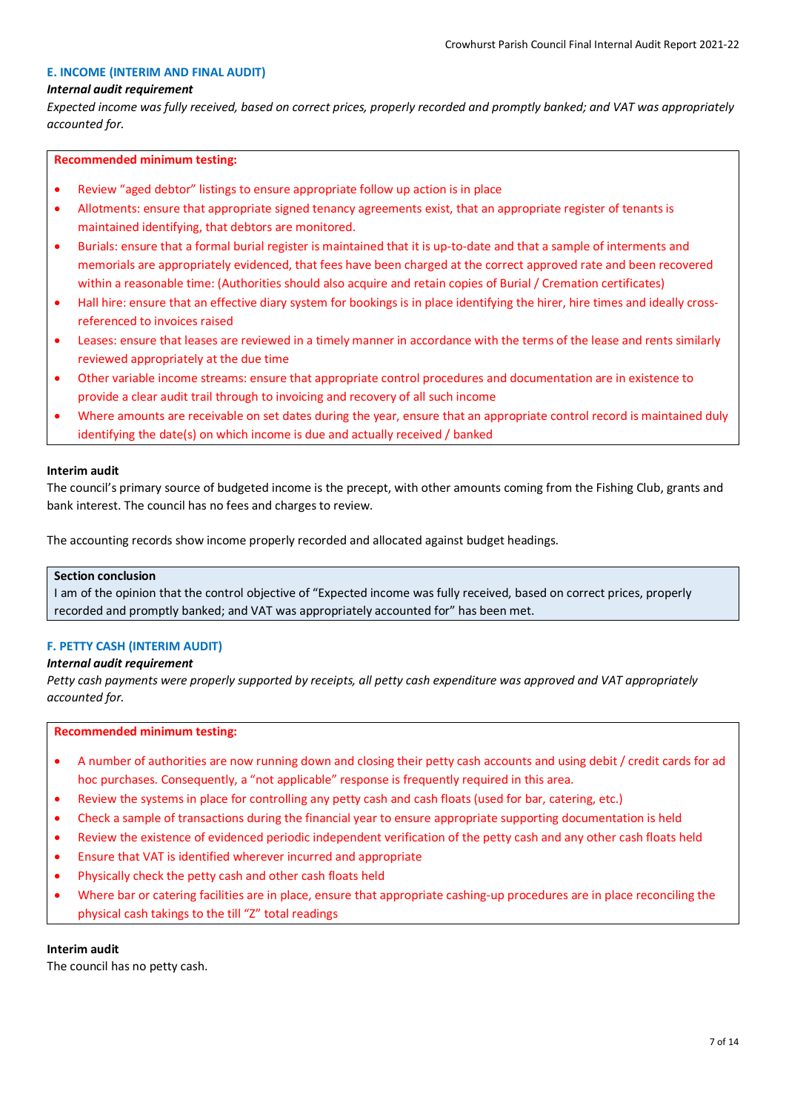## **E. INCOME (INTERIM AND FINAL AUDIT)**

### *Internal audit requirement*

*Expected income was fully received, based on correct prices, properly recorded and promptly banked; and VAT was appropriately accounted for.*

## **Recommended minimum testing:**

- Review "aged debtor" listings to ensure appropriate follow up action is in place
- Allotments: ensure that appropriate signed tenancy agreements exist, that an appropriate register of tenants is maintained identifying, that debtors are monitored.
- Burials: ensure that a formal burial register is maintained that it is up-to-date and that a sample of interments and memorials are appropriately evidenced, that fees have been charged at the correct approved rate and been recovered within a reasonable time: (Authorities should also acquire and retain copies of Burial / Cremation certificates)
- Hall hire: ensure that an effective diary system for bookings is in place identifying the hirer, hire times and ideally crossreferenced to invoices raised
- Leases: ensure that leases are reviewed in a timely manner in accordance with the terms of the lease and rents similarly reviewed appropriately at the due time
- Other variable income streams: ensure that appropriate control procedures and documentation are in existence to provide a clear audit trail through to invoicing and recovery of all such income
- Where amounts are receivable on set dates during the year, ensure that an appropriate control record is maintained duly identifying the date(s) on which income is due and actually received / banked

### **Interim audit**

The council's primary source of budgeted income is the precept, with other amounts coming from the Fishing Club, grants and bank interest. The council has no fees and charges to review.

The accounting records show income properly recorded and allocated against budget headings.

# **Section conclusion**

I am of the opinion that the control objective of "Expected income was fully received, based on correct prices, properly recorded and promptly banked; and VAT was appropriately accounted for" has been met.

## **F. PETTY CASH (INTERIM AUDIT)**

### *Internal audit requirement*

*Petty cash payments were properly supported by receipts, all petty cash expenditure was approved and VAT appropriately accounted for.*

# **Recommended minimum testing:**

- A number of authorities are now running down and closing their petty cash accounts and using debit / credit cards for ad hoc purchases. Consequently, a "not applicable" response is frequently required in this area.
- Review the systems in place for controlling any petty cash and cash floats (used for bar, catering, etc.)
- Check a sample of transactions during the financial year to ensure appropriate supporting documentation is held
- Review the existence of evidenced periodic independent verification of the petty cash and any other cash floats held
- Ensure that VAT is identified wherever incurred and appropriate
- Physically check the petty cash and other cash floats held
- Where bar or catering facilities are in place, ensure that appropriate cashing-up procedures are in place reconciling the physical cash takings to the till "Z" total readings

## **Interim audit**

The council has no petty cash.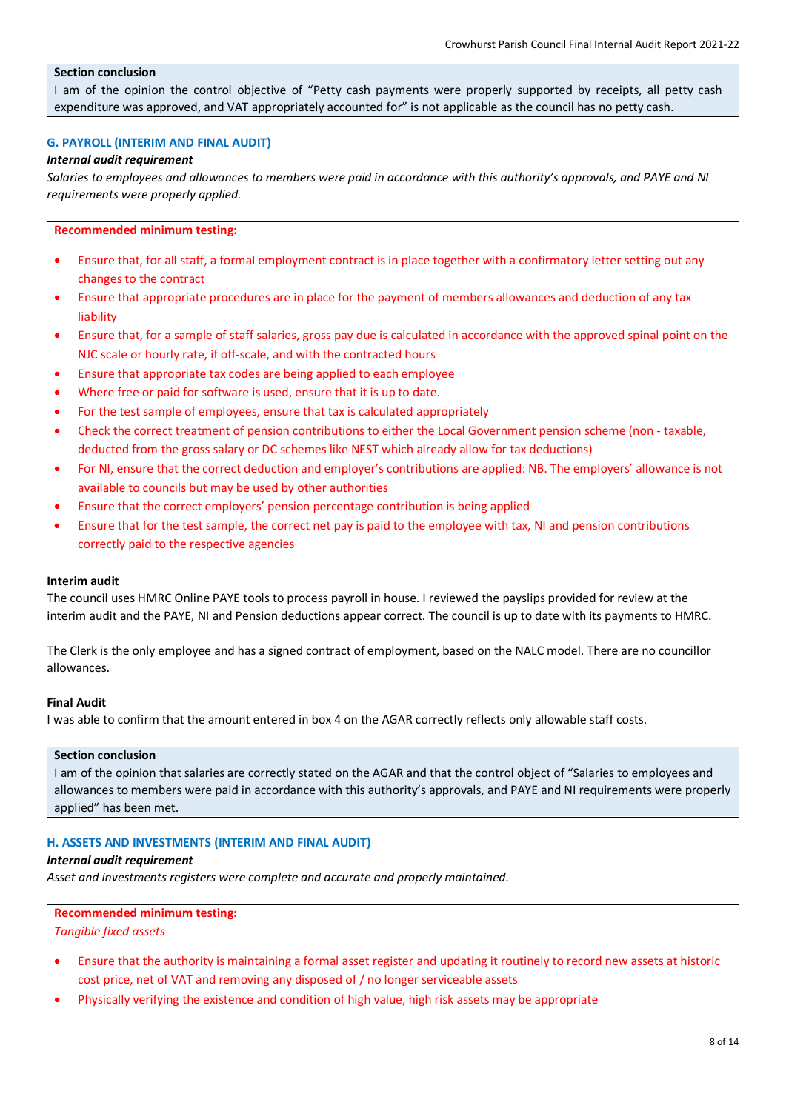### **Section conclusion**

I am of the opinion the control objective of "Petty cash payments were properly supported by receipts, all petty cash expenditure was approved, and VAT appropriately accounted for" is not applicable as the council has no petty cash.

### **G. PAYROLL (INTERIM AND FINAL AUDIT)**

### *Internal audit requirement*

*Salaries to employees and allowances to members were paid in accordance with this authority's approvals, and PAYE and NI requirements were properly applied.*

### **Recommended minimum testing:**

- Ensure that, for all staff, a formal employment contract is in place together with a confirmatory letter setting out any changes to the contract
- Ensure that appropriate procedures are in place for the payment of members allowances and deduction of any tax liability
- Ensure that, for a sample of staff salaries, gross pay due is calculated in accordance with the approved spinal point on the NJC scale or hourly rate, if off-scale, and with the contracted hours
- Ensure that appropriate tax codes are being applied to each employee
- Where free or paid for software is used, ensure that it is up to date.
- For the test sample of employees, ensure that tax is calculated appropriately
- Check the correct treatment of pension contributions to either the Local Government pension scheme (non taxable, deducted from the gross salary or DC schemes like NEST which already allow for tax deductions)
- For NI, ensure that the correct deduction and employer's contributions are applied: NB. The employers' allowance is not available to councils but may be used by other authorities
- Ensure that the correct employers' pension percentage contribution is being applied
- Ensure that for the test sample, the correct net pay is paid to the employee with tax, NI and pension contributions correctly paid to the respective agencies

#### **Interim audit**

The council uses HMRC Online PAYE tools to process payroll in house. I reviewed the payslips provided for review at the interim audit and the PAYE, NI and Pension deductions appear correct. The council is up to date with its payments to HMRC.

The Clerk is the only employee and has a signed contract of employment, based on the NALC model. There are no councillor allowances.

#### **Final Audit**

I was able to confirm that the amount entered in box 4 on the AGAR correctly reflects only allowable staff costs.

#### **Section conclusion**

I am of the opinion that salaries are correctly stated on the AGAR and that the control object of "Salaries to employees and allowances to members were paid in accordance with this authority's approvals, and PAYE and NI requirements were properly applied" has been met.

## **H. ASSETS AND INVESTMENTS (INTERIM AND FINAL AUDIT)**

## *Internal audit requirement*

*Asset and investments registers were complete and accurate and properly maintained.*

#### **Recommended minimum testing:**

### *Tangible fixed assets*

- Ensure that the authority is maintaining a formal asset register and updating it routinely to record new assets at historic cost price, net of VAT and removing any disposed of / no longer serviceable assets
- Physically verifying the existence and condition of high value, high risk assets may be appropriate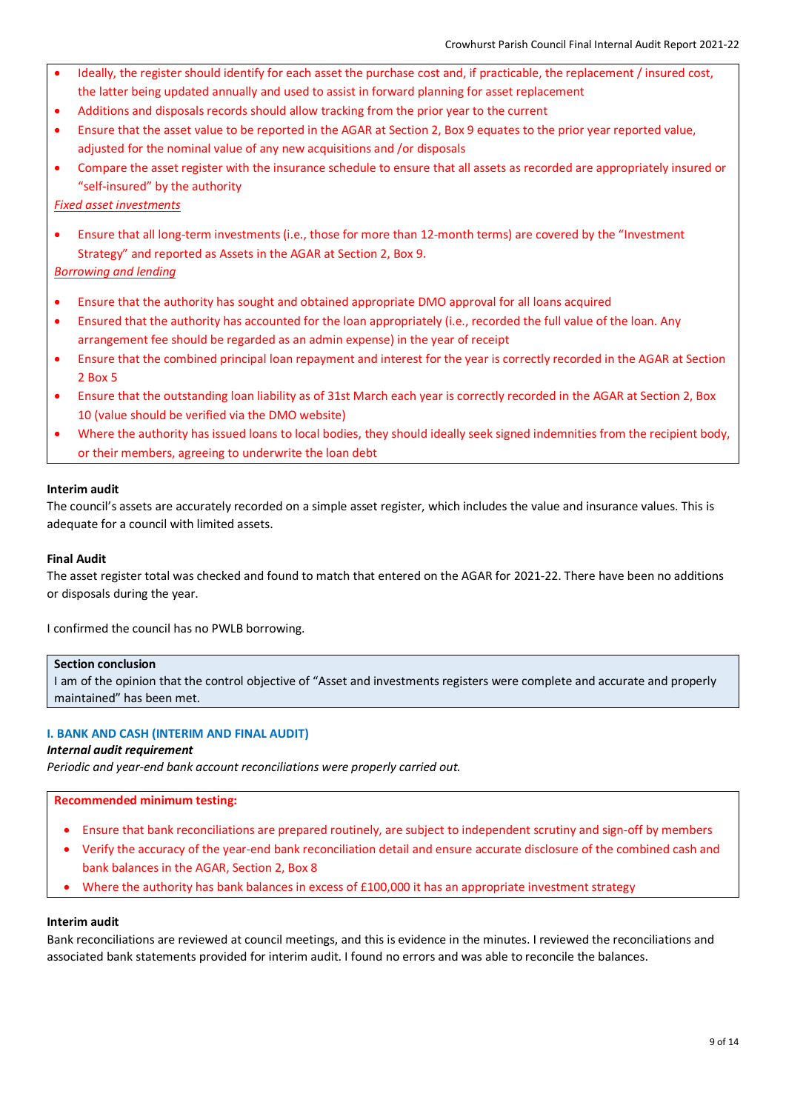- Ideally, the register should identify for each asset the purchase cost and, if practicable, the replacement / insured cost, the latter being updated annually and used to assist in forward planning for asset replacement
- Additions and disposals records should allow tracking from the prior year to the current
- Ensure that the asset value to be reported in the AGAR at Section 2, Box 9 equates to the prior year reported value, adjusted for the nominal value of any new acquisitions and /or disposals
- Compare the asset register with the insurance schedule to ensure that all assets as recorded are appropriately insured or "self-insured" by the authority

### *Fixed asset investments*

• Ensure that all long-term investments (i.e., those for more than 12-month terms) are covered by the "Investment Strategy" and reported as Assets in the AGAR at Section 2, Box 9.

## *Borrowing and lending*

- Ensure that the authority has sought and obtained appropriate DMO approval for all loans acquired
- Ensured that the authority has accounted for the loan appropriately (i.e., recorded the full value of the loan. Any arrangement fee should be regarded as an admin expense) in the year of receipt
- Ensure that the combined principal loan repayment and interest for the year is correctly recorded in the AGAR at Section 2 Box 5
- Ensure that the outstanding loan liability as of 31st March each year is correctly recorded in the AGAR at Section 2, Box 10 (value should be verified via the DMO website)
- Where the authority has issued loans to local bodies, they should ideally seek signed indemnities from the recipient body, or their members, agreeing to underwrite the loan debt

### **Interim audit**

The council's assets are accurately recorded on a simple asset register, which includes the value and insurance values. This is adequate for a council with limited assets.

### **Final Audit**

The asset register total was checked and found to match that entered on the AGAR for 2021-22. There have been no additions or disposals during the year.

I confirmed the council has no PWLB borrowing.

#### **Section conclusion**

I am of the opinion that the control objective of "Asset and investments registers were complete and accurate and properly maintained" has been met.

## **I. BANK AND CASH (INTERIM AND FINAL AUDIT)**

#### *Internal audit requirement*

*Periodic and year-end bank account reconciliations were properly carried out.*

## **Recommended minimum testing:**

- Ensure that bank reconciliations are prepared routinely, are subject to independent scrutiny and sign-off by members
- Verify the accuracy of the year-end bank reconciliation detail and ensure accurate disclosure of the combined cash and bank balances in the AGAR, Section 2, Box 8
- Where the authority has bank balances in excess of £100,000 it has an appropriate investment strategy

#### **Interim audit**

Bank reconciliations are reviewed at council meetings, and this is evidence in the minutes. I reviewed the reconciliations and associated bank statements provided for interim audit. I found no errors and was able to reconcile the balances.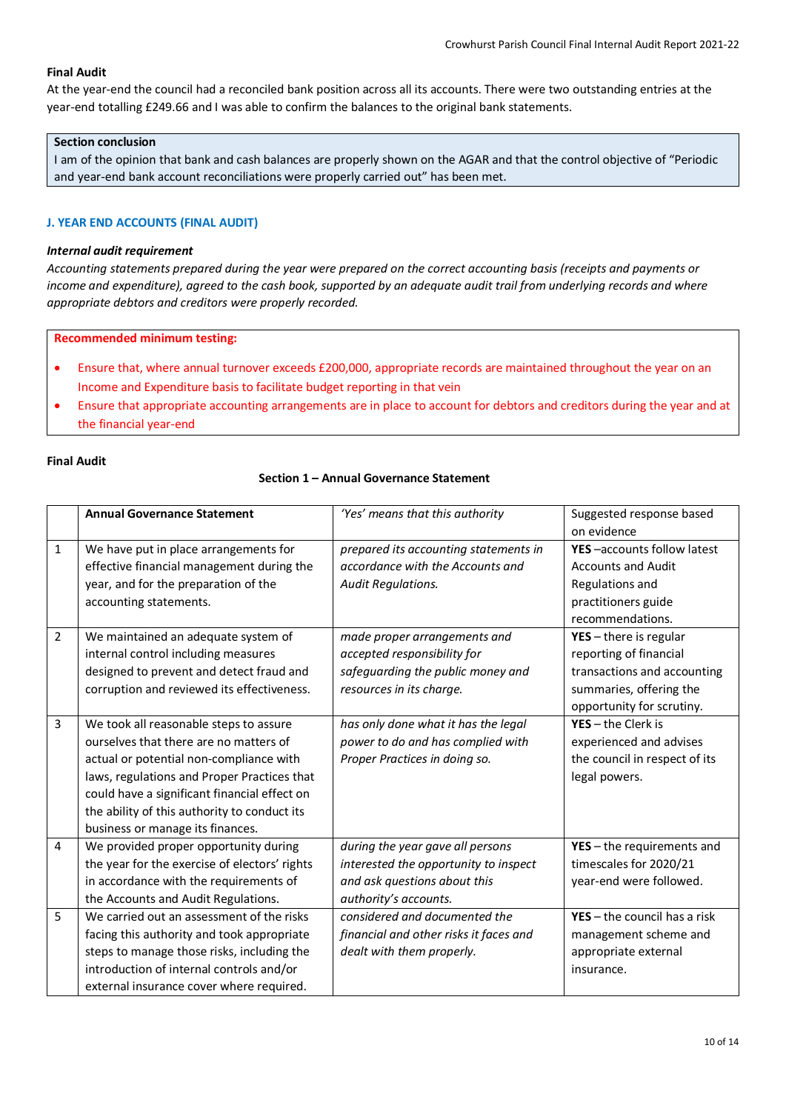# **Final Audit**

At the year-end the council had a reconciled bank position across all its accounts. There were two outstanding entries at the year-end totalling £249.66 and I was able to confirm the balances to the original bank statements.

## **Section conclusion**

I am of the opinion that bank and cash balances are properly shown on the AGAR and that the control objective of "Periodic and year-end bank account reconciliations were properly carried out" has been met.

## **J. YEAR END ACCOUNTS (FINAL AUDIT)**

## *Internal audit requirement*

*Accounting statements prepared during the year were prepared on the correct accounting basis (receipts and payments or income and expenditure), agreed to the cash book, supported by an adequate audit trail from underlying records and where appropriate debtors and creditors were properly recorded.*

**Recommended minimum testing:**

- Ensure that, where annual turnover exceeds £200,000, appropriate records are maintained throughout the year on an Income and Expenditure basis to facilitate budget reporting in that vein
- Ensure that appropriate accounting arrangements are in place to account for debtors and creditors during the year and at the financial year-end

## **Final Audit**

## **Section 1 – Annual Governance Statement**

|                | <b>Annual Governance Statement</b>            | 'Yes' means that this authority        | Suggested response based       |
|----------------|-----------------------------------------------|----------------------------------------|--------------------------------|
|                |                                               |                                        | on evidence                    |
| 1              | We have put in place arrangements for         | prepared its accounting statements in  | YES-accounts follow latest     |
|                | effective financial management during the     | accordance with the Accounts and       | <b>Accounts and Audit</b>      |
|                | year, and for the preparation of the          | <b>Audit Regulations.</b>              | Regulations and                |
|                | accounting statements.                        |                                        | practitioners guide            |
|                |                                               |                                        | recommendations.               |
| $\overline{2}$ | We maintained an adequate system of           | made proper arrangements and           | $YES - there$ is regular       |
|                | internal control including measures           | accepted responsibility for            | reporting of financial         |
|                | designed to prevent and detect fraud and      | safeguarding the public money and      | transactions and accounting    |
|                | corruption and reviewed its effectiveness.    | resources in its charge.               | summaries, offering the        |
|                |                                               |                                        | opportunity for scrutiny.      |
| 3              | We took all reasonable steps to assure        | has only done what it has the legal    | $YES - the Clerk is$           |
|                | ourselves that there are no matters of        | power to do and has complied with      | experienced and advises        |
|                | actual or potential non-compliance with       | Proper Practices in doing so.          | the council in respect of its  |
|                | laws, regulations and Proper Practices that   |                                        | legal powers.                  |
|                | could have a significant financial effect on  |                                        |                                |
|                | the ability of this authority to conduct its  |                                        |                                |
|                | business or manage its finances.              |                                        |                                |
| 4              | We provided proper opportunity during         | during the year gave all persons       | $YES - the requirements$ and   |
|                | the year for the exercise of electors' rights | interested the opportunity to inspect  | timescales for 2020/21         |
|                | in accordance with the requirements of        | and ask questions about this           | year-end were followed.        |
|                | the Accounts and Audit Regulations.           | authority's accounts.                  |                                |
| 5.             | We carried out an assessment of the risks     | considered and documented the          | $YES - the council has a risk$ |
|                | facing this authority and took appropriate    | financial and other risks it faces and | management scheme and          |
|                | steps to manage those risks, including the    | dealt with them properly.              | appropriate external           |
|                | introduction of internal controls and/or      |                                        | insurance.                     |
|                | external insurance cover where required.      |                                        |                                |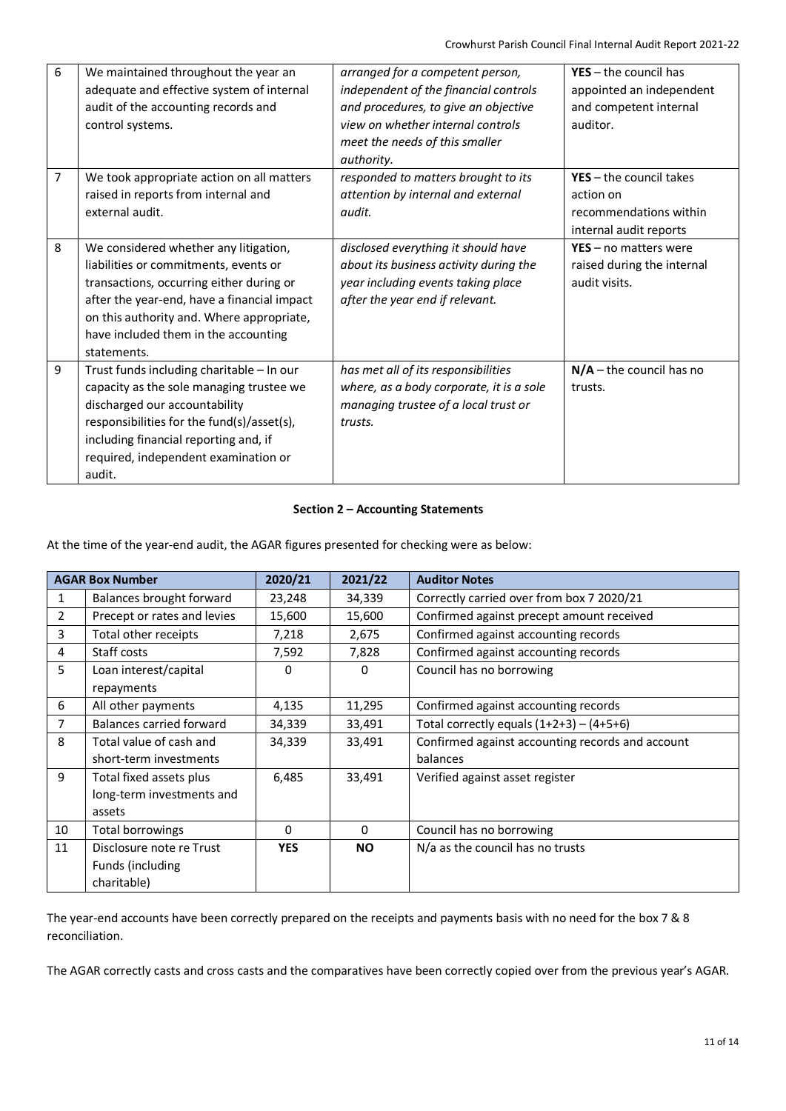| 6              | We maintained throughout the year an<br>adequate and effective system of internal<br>audit of the accounting records and<br>control systems.                                                                                                                                  | arranged for a competent person,<br>independent of the financial controls<br>and procedures, to give an objective<br>view on whether internal controls<br>meet the needs of this smaller<br>authority. | $YES - the council has$<br>appointed an independent<br>and competent internal<br>auditor.  |
|----------------|-------------------------------------------------------------------------------------------------------------------------------------------------------------------------------------------------------------------------------------------------------------------------------|--------------------------------------------------------------------------------------------------------------------------------------------------------------------------------------------------------|--------------------------------------------------------------------------------------------|
| $\overline{7}$ | We took appropriate action on all matters<br>raised in reports from internal and<br>external audit.                                                                                                                                                                           | responded to matters brought to its<br>attention by internal and external<br>audit.                                                                                                                    | $YES - the council takes$<br>action on<br>recommendations within<br>internal audit reports |
| 8              | We considered whether any litigation,<br>liabilities or commitments, events or<br>transactions, occurring either during or<br>after the year-end, have a financial impact<br>on this authority and. Where appropriate,<br>have included them in the accounting<br>statements. | disclosed everything it should have<br>about its business activity during the<br>year including events taking place<br>after the year end if relevant.                                                 | $YES - no$ matters were<br>raised during the internal<br>audit visits.                     |
| 9              | Trust funds including charitable - In our<br>capacity as the sole managing trustee we<br>discharged our accountability<br>responsibilities for the fund(s)/asset(s),<br>including financial reporting and, if<br>required, independent examination or<br>audit.               | has met all of its responsibilities<br>where, as a body corporate, it is a sole<br>managing trustee of a local trust or<br>trusts.                                                                     | $N/A$ – the council has no<br>trusts.                                                      |

# **Section 2 – Accounting Statements**

At the time of the year-end audit, the AGAR figures presented for checking were as below:

| <b>AGAR Box Number</b> |                             | 2020/21    | 2021/22   | <b>Auditor Notes</b>                             |
|------------------------|-----------------------------|------------|-----------|--------------------------------------------------|
| 1                      | Balances brought forward    | 23,248     | 34,339    | Correctly carried over from box 7 2020/21        |
| $\overline{2}$         | Precept or rates and levies | 15,600     | 15,600    | Confirmed against precept amount received        |
| 3                      | Total other receipts        | 7,218      | 2,675     | Confirmed against accounting records             |
| 4                      | Staff costs                 | 7,592      | 7,828     | Confirmed against accounting records             |
| 5                      | Loan interest/capital       | 0          | 0         | Council has no borrowing                         |
|                        | repayments                  |            |           |                                                  |
| 6                      | All other payments          | 4,135      | 11,295    | Confirmed against accounting records             |
| 7                      | Balances carried forward    | 34,339     | 33,491    | Total correctly equals $(1+2+3) - (4+5+6)$       |
| 8                      | Total value of cash and     | 34,339     | 33,491    | Confirmed against accounting records and account |
|                        | short-term investments      |            |           | balances                                         |
| 9                      | Total fixed assets plus     | 6,485      | 33,491    | Verified against asset register                  |
|                        | long-term investments and   |            |           |                                                  |
|                        | assets                      |            |           |                                                  |
| 10                     | Total borrowings            | 0          | $\Omega$  | Council has no borrowing                         |
| 11                     | Disclosure note re Trust    | <b>YES</b> | <b>NO</b> | N/a as the council has no trusts                 |
|                        | Funds (including            |            |           |                                                  |
|                        | charitable)                 |            |           |                                                  |

The year-end accounts have been correctly prepared on the receipts and payments basis with no need for the box 7 & 8 reconciliation.

The AGAR correctly casts and cross casts and the comparatives have been correctly copied over from the previous year's AGAR.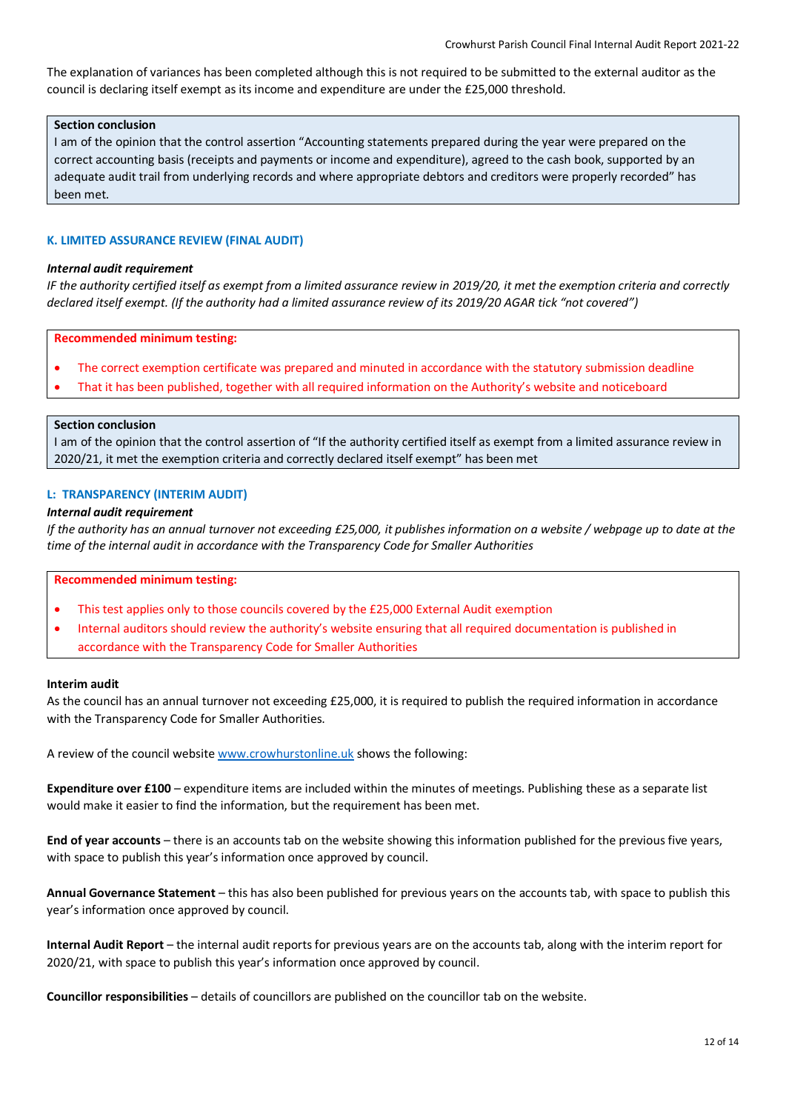The explanation of variances has been completed although this is not required to be submitted to the external auditor as the council is declaring itself exempt as its income and expenditure are under the £25,000 threshold.

### **Section conclusion**

I am of the opinion that the control assertion "Accounting statements prepared during the year were prepared on the correct accounting basis (receipts and payments or income and expenditure), agreed to the cash book, supported by an adequate audit trail from underlying records and where appropriate debtors and creditors were properly recorded" has been met.

# **K. LIMITED ASSURANCE REVIEW (FINAL AUDIT)**

### *Internal audit requirement*

*IF the authority certified itself as exempt from a limited assurance review in 2019/20, it met the exemption criteria and correctly declared itself exempt. (If the authority had a limited assurance review of its 2019/20 AGAR tick "not covered")*

**Recommended minimum testing:**

- The correct exemption certificate was prepared and minuted in accordance with the statutory submission deadline
- That it has been published, together with all required information on the Authority's website and noticeboard

#### **Section conclusion**

I am of the opinion that the control assertion of "If the authority certified itself as exempt from a limited assurance review in 2020/21, it met the exemption criteria and correctly declared itself exempt" has been met

## **L: TRANSPARENCY (INTERIM AUDIT)**

## *Internal audit requirement*

*If the authority has an annual turnover not exceeding £25,000, it publishes information on a website / webpage up to date at the time of the internal audit in accordance with the Transparency Code for Smaller Authorities*

#### **Recommended minimum testing:**

- This test applies only to those councils covered by the £25,000 External Audit exemption
- Internal auditors should review the authority's website ensuring that all required documentation is published in accordance with the Transparency Code for Smaller Authorities

#### **Interim audit**

As the council has an annual turnover not exceeding £25,000, it is required to publish the required information in accordance with the Transparency Code for Smaller Authorities.

A review of the council website www.crowhurstonline.uk shows the following:

**Expenditure over £100** – expenditure items are included within the minutes of meetings. Publishing these as a separate list would make it easier to find the information, but the requirement has been met.

**End of year accounts** – there is an accounts tab on the website showing this information published for the previous five years, with space to publish this year's information once approved by council.

**Annual Governance Statement** – this has also been published for previous years on the accounts tab, with space to publish this year's information once approved by council.

**Internal Audit Report** – the internal audit reports for previous years are on the accounts tab, along with the interim report for 2020/21, with space to publish this year's information once approved by council.

**Councillor responsibilities** – details of councillors are published on the councillor tab on the website.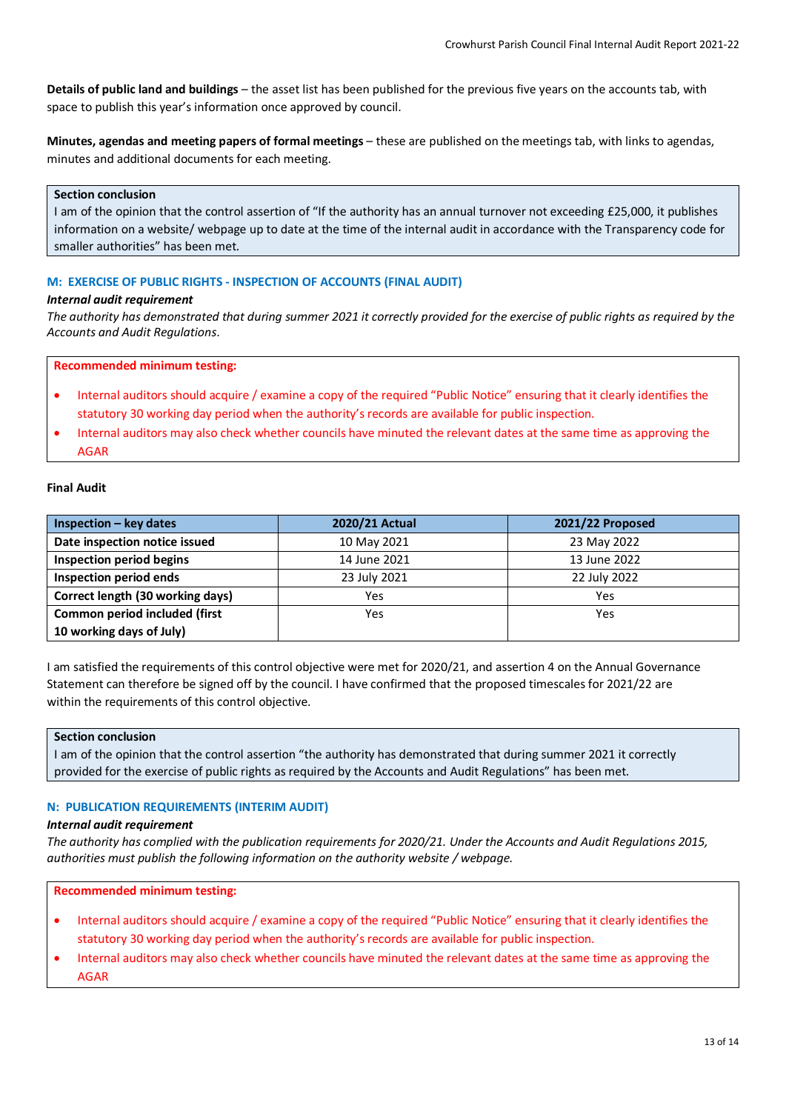**Details of public land and buildings** – the asset list has been published for the previous five years on the accounts tab, with space to publish this year's information once approved by council.

**Minutes, agendas and meeting papers of formal meetings** – these are published on the meetings tab, with links to agendas, minutes and additional documents for each meeting.

## **Section conclusion**

I am of the opinion that the control assertion of "If the authority has an annual turnover not exceeding £25,000, it publishes information on a website/ webpage up to date at the time of the internal audit in accordance with the Transparency code for smaller authorities" has been met.

## **M: EXERCISE OF PUBLIC RIGHTS - INSPECTION OF ACCOUNTS (FINAL AUDIT)**

### *Internal audit requirement*

*The authority has demonstrated that during summer 2021 it correctly provided for the exercise of public rights as required by the Accounts and Audit Regulations*.

### **Recommended minimum testing:**

- Internal auditors should acquire / examine a copy of the required "Public Notice" ensuring that it clearly identifies the statutory 30 working day period when the authority's records are available for public inspection.
- Internal auditors may also check whether councils have minuted the relevant dates at the same time as approving the AGAR

### **Final Audit**

| Inspection - key dates           | 2020/21 Actual | 2021/22 Proposed |
|----------------------------------|----------------|------------------|
| Date inspection notice issued    | 10 May 2021    | 23 May 2022      |
| Inspection period begins         | 14 June 2021   | 13 June 2022     |
| Inspection period ends           | 23 July 2021   | 22 July 2022     |
| Correct length (30 working days) | Yes            | Yes              |
| Common period included (first    | Yes            | Yes              |
| 10 working days of July)         |                |                  |

I am satisfied the requirements of this control objective were met for 2020/21, and assertion 4 on the Annual Governance Statement can therefore be signed off by the council. I have confirmed that the proposed timescales for 2021/22 are within the requirements of this control objective.

#### **Section conclusion**

I am of the opinion that the control assertion "the authority has demonstrated that during summer 2021 it correctly provided for the exercise of public rights as required by the Accounts and Audit Regulations" has been met.

## **N: PUBLICATION REQUIREMENTS (INTERIM AUDIT)**

#### *Internal audit requirement*

*The authority has complied with the publication requirements for 2020/21. Under the Accounts and Audit Regulations 2015, authorities must publish the following information on the authority website / webpage.*

**Recommended minimum testing:**

- Internal auditors should acquire / examine a copy of the required "Public Notice" ensuring that it clearly identifies the statutory 30 working day period when the authority's records are available for public inspection.
- Internal auditors may also check whether councils have minuted the relevant dates at the same time as approving the AGAR